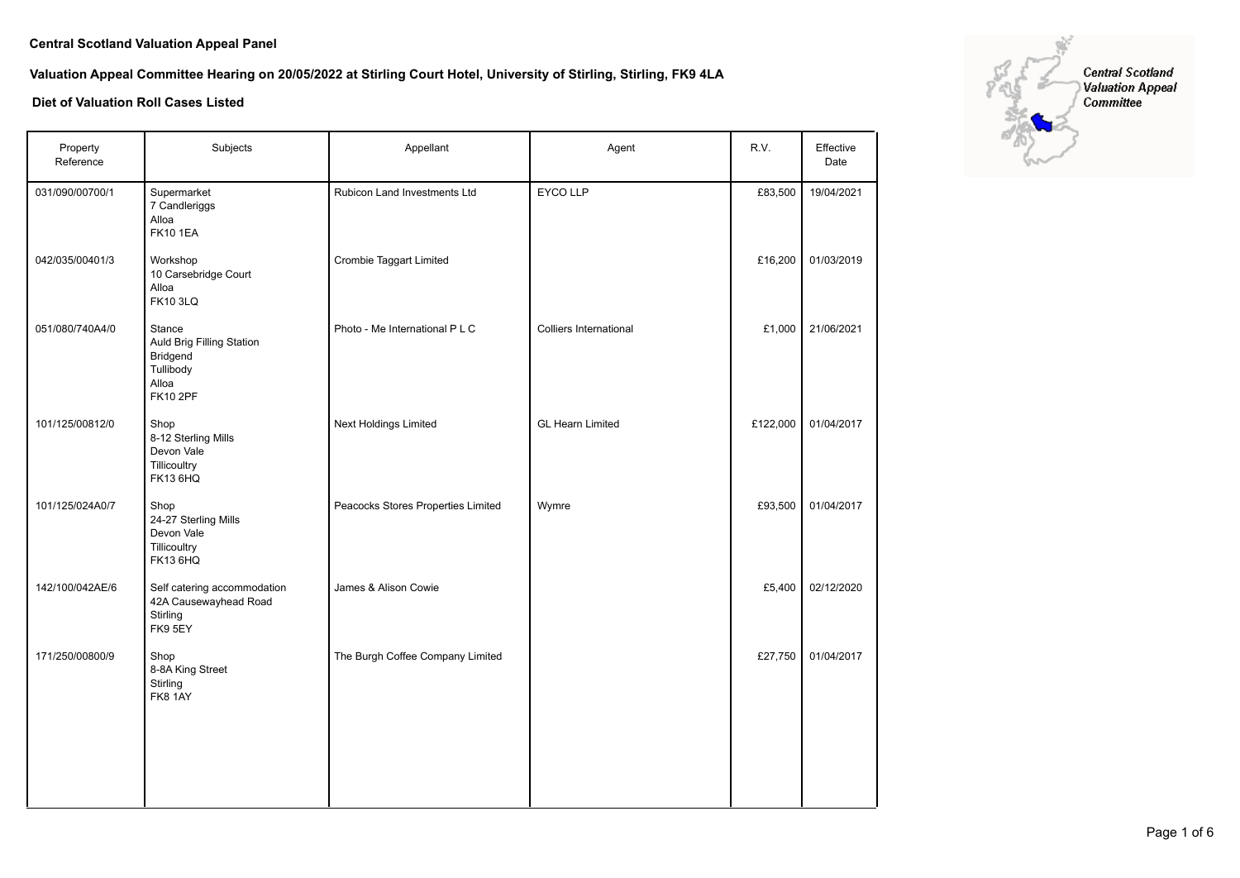# **Valuation Appeal Committee Hearing on 20/05/2022 at Stirling Court Hotel, University of Stirling, Stirling, FK9 4LA**

| Property<br>Reference | Subjects                                                                                 | Appellant                          | Agent                         | R.V.     | Effective<br>Date |
|-----------------------|------------------------------------------------------------------------------------------|------------------------------------|-------------------------------|----------|-------------------|
| 031/090/00700/1       | Supermarket<br>7 Candleriggs<br>Alloa<br><b>FK10 1EA</b>                                 | Rubicon Land Investments Ltd       | EYCO LLP                      | £83,500  | 19/04/2021        |
| 042/035/00401/3       | Workshop<br>10 Carsebridge Court<br>Alloa<br><b>FK10 3LQ</b>                             | <b>Crombie Taggart Limited</b>     |                               | £16,200  | 01/03/2019        |
| 051/080/740A4/0       | Stance<br>Auld Brig Filling Station<br>Bridgend<br>Tullibody<br>Alloa<br><b>FK10 2PF</b> | Photo - Me International P L C     | <b>Colliers International</b> | £1,000   | 21/06/2021        |
| 101/125/00812/0       | Shop<br>8-12 Sterling Mills<br>Devon Vale<br>Tillicoultry<br><b>FK13 6HQ</b>             | Next Holdings Limited              | <b>GL Hearn Limited</b>       | £122,000 | 01/04/2017        |
| 101/125/024A0/7       | Shop<br>24-27 Sterling Mills<br>Devon Vale<br>Tillicoultry<br><b>FK13 6HQ</b>            | Peacocks Stores Properties Limited | Wymre                         | £93,500  | 01/04/2017        |
| 142/100/042AE/6       | Self catering accommodation<br>42A Causewayhead Road<br>Stirling<br>FK9 5EY              | James & Alison Cowie               |                               | £5,400   | 02/12/2020        |
| 171/250/00800/9       | Shop<br>8-8A King Street<br>Stirling<br><b>FK8 1AY</b>                                   | The Burgh Coffee Company Limited   |                               | £27,750  | 01/04/2017        |
|                       |                                                                                          |                                    |                               |          |                   |

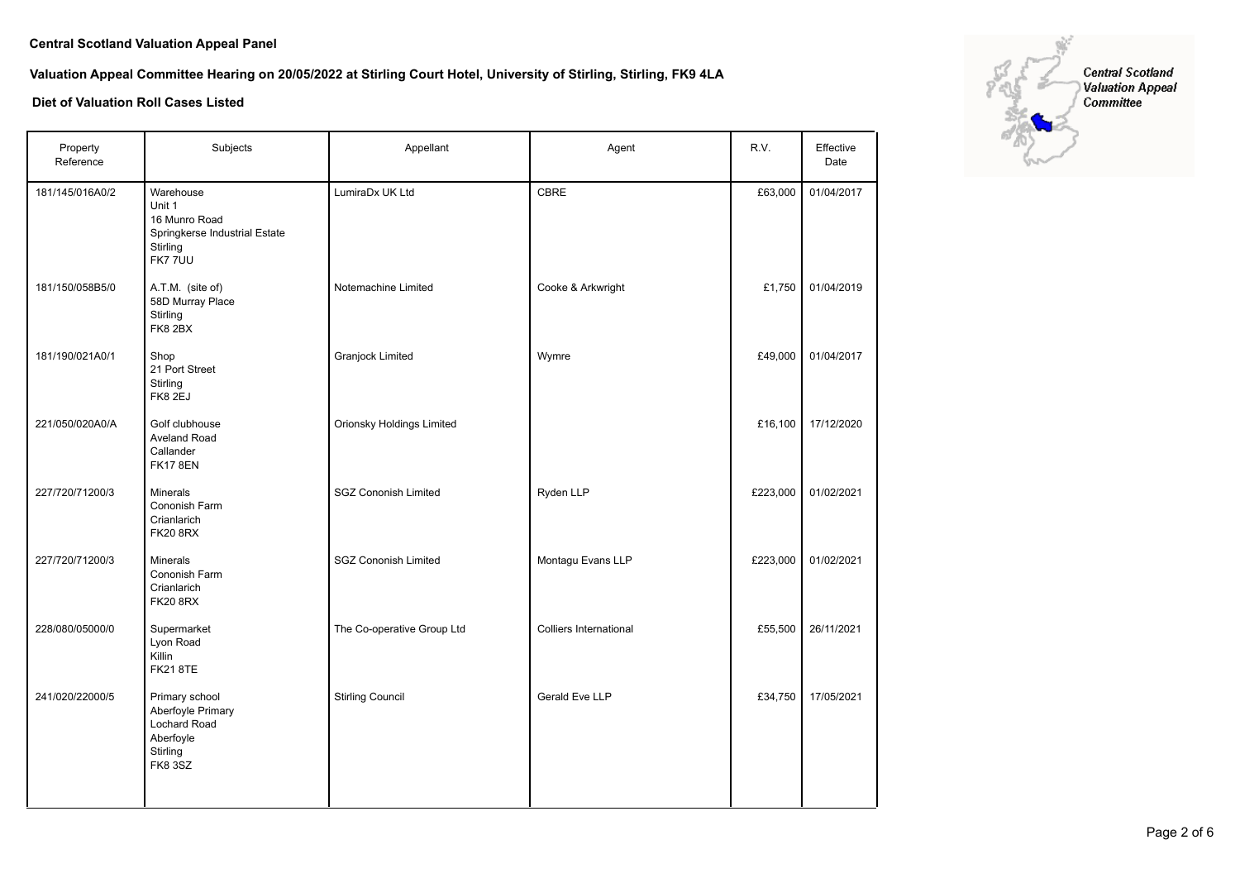**Valuation Appeal Committee Hearing on 20/05/2022 at Stirling Court Hotel, University of Stirling, Stirling, FK9 4LA**

| Property<br>Reference | Subjects                                                                                              | Appellant                        | Agent                         | R.V.     | Effective<br>Date |
|-----------------------|-------------------------------------------------------------------------------------------------------|----------------------------------|-------------------------------|----------|-------------------|
| 181/145/016A0/2       | Warehouse<br>Unit 1<br>16 Munro Road<br>Springkerse Industrial Estate<br>Stirling<br><b>FK777UU</b>   | LumiraDx UK Ltd                  | CBRE                          | £63,000  | 01/04/2017        |
| 181/150/058B5/0       | A.T.M. (site of)<br>58D Murray Place<br>Stirling<br>FK8 2BX                                           | Notemachine Limited              | Cooke & Arkwright             | £1,750   | 01/04/2019        |
| 181/190/021A0/1       | Shop<br>21 Port Street<br>Stirling<br>FK8 2EJ                                                         | <b>Granjock Limited</b>          | Wymre                         | £49,000  | 01/04/2017        |
| 221/050/020A0/A       | Golf clubhouse<br>Aveland Road<br>Callander<br><b>FK17 8EN</b>                                        | <b>Orionsky Holdings Limited</b> |                               | £16,100  | 17/12/2020        |
| 227/720/71200/3       | <b>Minerals</b><br>Cononish Farm<br>Crianlarich<br><b>FK20 8RX</b>                                    | <b>SGZ Cononish Limited</b>      | Ryden LLP                     | £223,000 | 01/02/2021        |
| 227/720/71200/3       | <b>Minerals</b><br>Cononish Farm<br>Crianlarich<br><b>FK20 8RX</b>                                    | <b>SGZ Cononish Limited</b>      | Montagu Evans LLP             | £223,000 | 01/02/2021        |
| 228/080/05000/0       | Supermarket<br>Lyon Road<br>Killin<br><b>FK21 8TE</b>                                                 | The Co-operative Group Ltd       | <b>Colliers International</b> | £55,500  | 26/11/2021        |
| 241/020/22000/5       | Primary school<br>Aberfoyle Primary<br><b>Lochard Road</b><br>Aberfoyle<br>Stirling<br><b>FK8 3SZ</b> | <b>Stirling Council</b>          | Gerald Eve LLP                | £34,750  | 17/05/2021        |

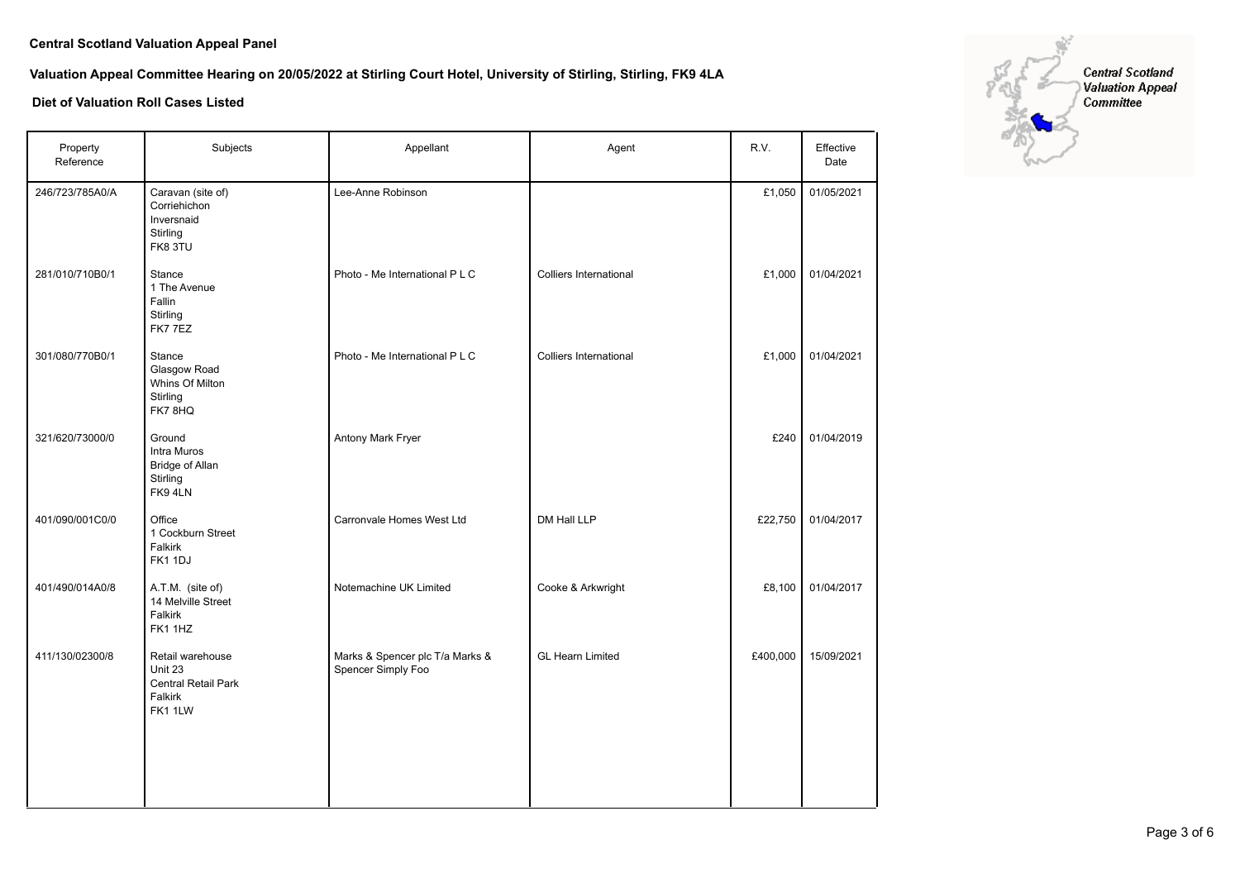**Valuation Appeal Committee Hearing on 20/05/2022 at Stirling Court Hotel, University of Stirling, Stirling, FK9 4LA**

| Property<br>Reference | Subjects                                                                 | Appellant                                             | Agent                         | R.V.     | Effective<br>Date |
|-----------------------|--------------------------------------------------------------------------|-------------------------------------------------------|-------------------------------|----------|-------------------|
| 246/723/785A0/A       | Caravan (site of)<br>Corriehichon<br>Inversnaid<br>Stirling<br>FK8 3TU   | Lee-Anne Robinson                                     |                               | £1,050   | 01/05/2021        |
| 281/010/710B0/1       | Stance<br>1 The Avenue<br>Fallin<br>Stirling<br>FK77EZ                   | Photo - Me International P L C                        | <b>Colliers International</b> | £1,000   | 01/04/2021        |
| 301/080/770B0/1       | Stance<br>Glasgow Road<br>Whins Of Milton<br>Stirling<br>FK78HQ          | Photo - Me International P L C                        | <b>Colliers International</b> | £1,000   | 01/04/2021        |
| 321/620/73000/0       | Ground<br>Intra Muros<br><b>Bridge of Allan</b><br>Stirling<br>FK94LN    | Antony Mark Fryer                                     |                               | £240     | 01/04/2019        |
| 401/090/001C0/0       | Office<br>1 Cockburn Street<br>Falkirk<br>FK1 1DJ                        | Carronvale Homes West Ltd                             | DM Hall LLP                   | £22,750  | 01/04/2017        |
| 401/490/014A0/8       | A.T.M. (site of)<br>14 Melville Street<br>Falkirk<br>FK1 1HZ             | Notemachine UK Limited                                | Cooke & Arkwright             | £8,100   | 01/04/2017        |
| 411/130/02300/8       | Retail warehouse<br>Unit 23<br>Central Retail Park<br>Falkirk<br>FK1 1LW | Marks & Spencer plc T/a Marks &<br>Spencer Simply Foo | <b>GL Hearn Limited</b>       | £400,000 | 15/09/2021        |
|                       |                                                                          |                                                       |                               |          |                   |

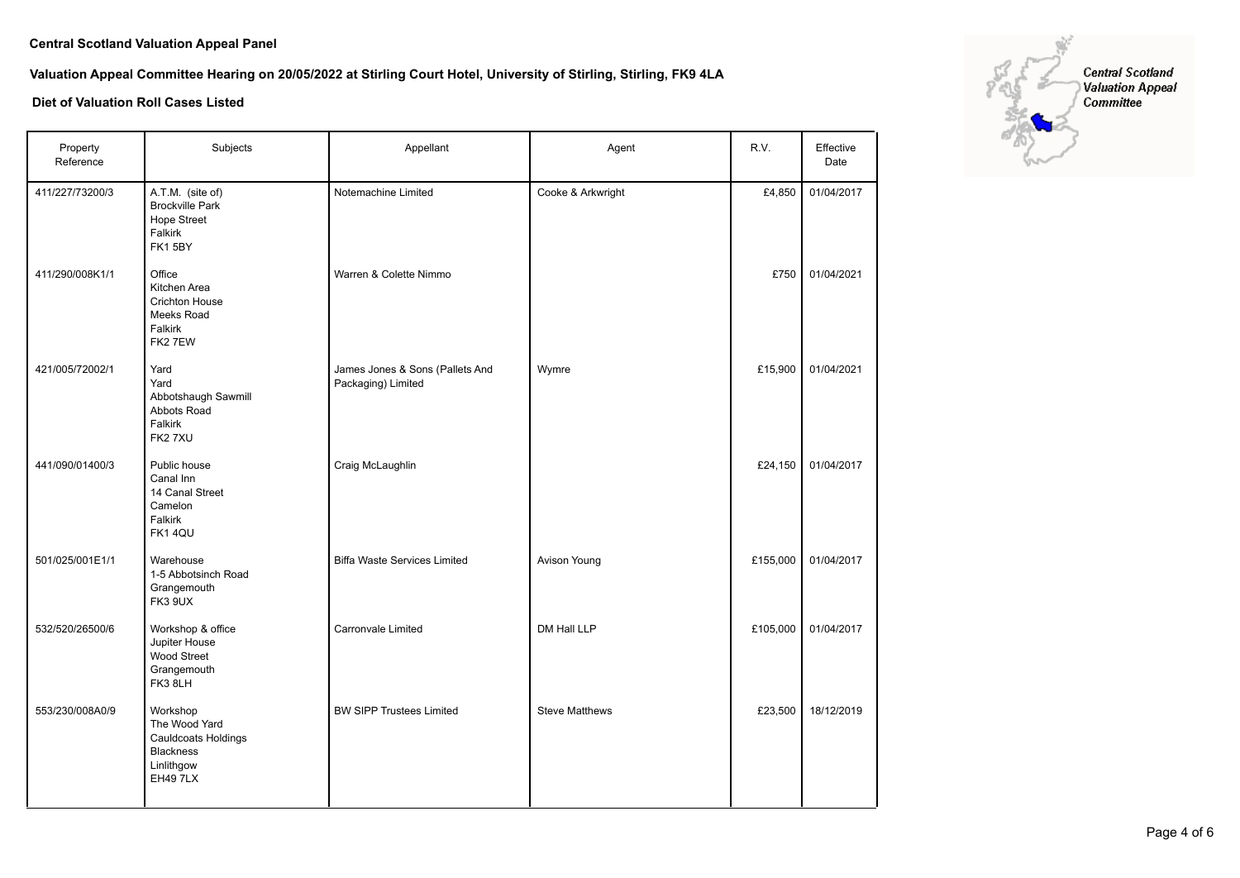# **Valuation Appeal Committee Hearing on 20/05/2022 at Stirling Court Hotel, University of Stirling, Stirling, FK9 4LA**

| Property<br>Reference | Subjects                                                                                              | Appellant                                             | Agent                 | R.V.     | Effective<br>Date |
|-----------------------|-------------------------------------------------------------------------------------------------------|-------------------------------------------------------|-----------------------|----------|-------------------|
| 411/227/73200/3       | A.T.M. (site of)<br><b>Brockville Park</b><br><b>Hope Street</b><br>Falkirk<br>FK15BY                 | Notemachine Limited                                   | Cooke & Arkwright     | £4,850   | 01/04/2017        |
| 411/290/008K1/1       | Office<br>Kitchen Area<br><b>Crichton House</b><br>Meeks Road<br>Falkirk<br>FK2 7EW                   | Warren & Colette Nimmo                                |                       | £750     | 01/04/2021        |
| 421/005/72002/1       | Yard<br>Yard<br>Abbotshaugh Sawmill<br>Abbots Road<br>Falkirk<br>FK27XU                               | James Jones & Sons (Pallets And<br>Packaging) Limited | Wymre                 | £15,900  | 01/04/2021        |
| 441/090/01400/3       | Public house<br>Canal Inn<br>14 Canal Street<br>Camelon<br>Falkirk<br>FK14QU                          | Craig McLaughlin                                      |                       | £24,150  | 01/04/2017        |
| 501/025/001E1/1       | Warehouse<br>1-5 Abbotsinch Road<br>Grangemouth<br>FK3 9UX                                            | <b>Biffa Waste Services Limited</b>                   | Avison Young          | £155,000 | 01/04/2017        |
| 532/520/26500/6       | Workshop & office<br>Jupiter House<br><b>Wood Street</b><br>Grangemouth<br>FK3 8LH                    | <b>Carronvale Limited</b>                             | DM Hall LLP           | £105,000 | 01/04/2017        |
| 553/230/008A0/9       | Workshop<br>The Wood Yard<br><b>Cauldcoats Holdings</b><br>Blackness<br>Linlithgow<br><b>EH49 7LX</b> | <b>BW SIPP Trustees Limited</b>                       | <b>Steve Matthews</b> | £23,500  | 18/12/2019        |

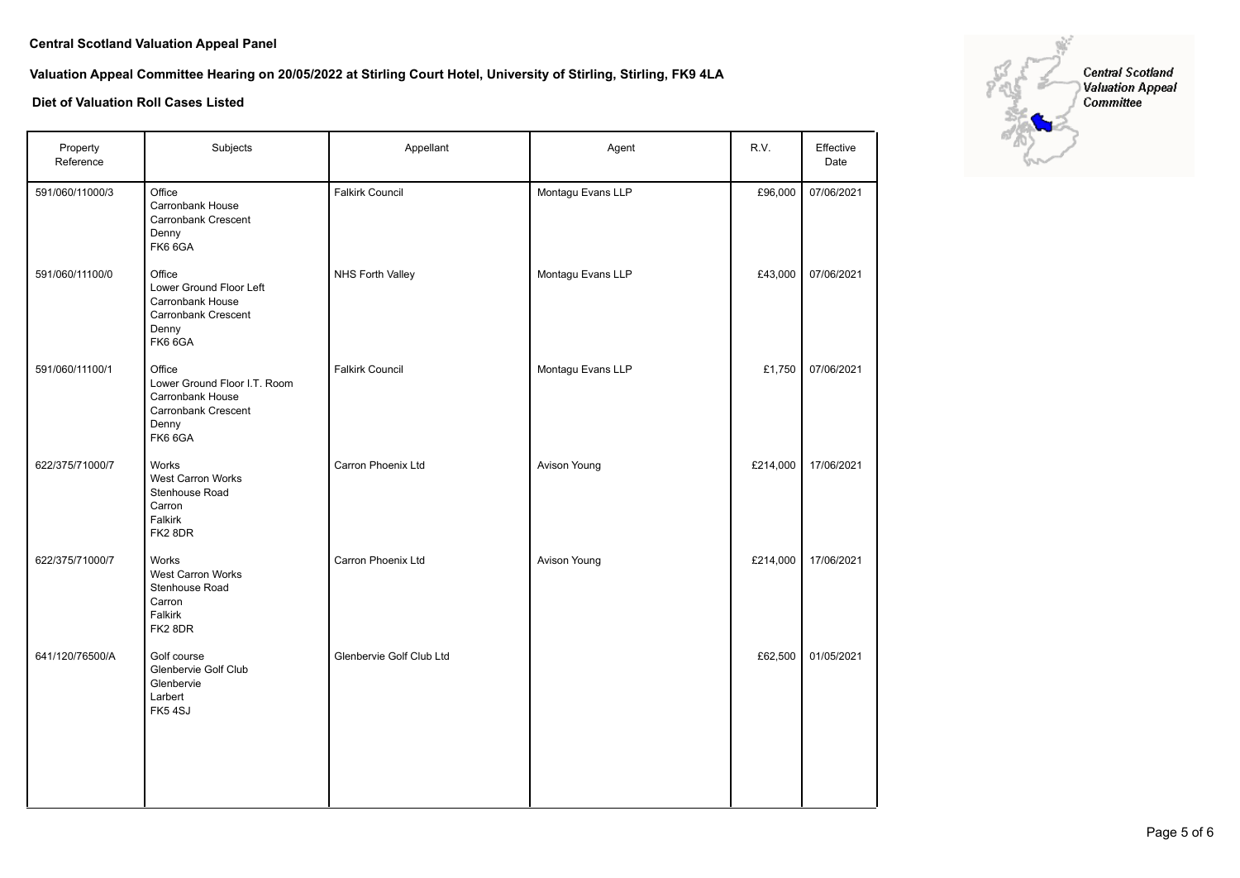# **Valuation Appeal Committee Hearing on 20/05/2022 at Stirling Court Hotel, University of Stirling, Stirling, FK9 4LA**

| Property<br>Reference | Subjects                                                                                                     | Appellant                | Agent             | R.V.     | Effective<br>Date |
|-----------------------|--------------------------------------------------------------------------------------------------------------|--------------------------|-------------------|----------|-------------------|
| 591/060/11000/3       | Office<br>Carronbank House<br>Carronbank Crescent<br>Denny<br>FK6 6GA                                        | <b>Falkirk Council</b>   | Montagu Evans LLP | £96,000  | 07/06/2021        |
| 591/060/11100/0       | Office<br>Lower Ground Floor Left<br>Carronbank House<br>Carronbank Crescent<br>Denny<br>FK66GA              | NHS Forth Valley         | Montagu Evans LLP | £43,000  | 07/06/2021        |
| 591/060/11100/1       | Office<br>Lower Ground Floor I.T. Room<br>Carronbank House<br><b>Carronbank Crescent</b><br>Denny<br>FK6 6GA | <b>Falkirk Council</b>   | Montagu Evans LLP | £1,750   | 07/06/2021        |
| 622/375/71000/7       | Works<br>West Carron Works<br>Stenhouse Road<br>Carron<br>Falkirk<br>FK28DR                                  | Carron Phoenix Ltd       | Avison Young      | £214,000 | 17/06/2021        |
| 622/375/71000/7       | Works<br>West Carron Works<br>Stenhouse Road<br>Carron<br>Falkirk<br>FK2 8DR                                 | Carron Phoenix Ltd       | Avison Young      | £214,000 | 17/06/2021        |
| 641/120/76500/A       | Golf course<br>Glenbervie Golf Club<br>Glenbervie<br>Larbert<br>FK54SJ                                       | Glenbervie Golf Club Ltd |                   | £62,500  | 01/05/2021        |
|                       |                                                                                                              |                          |                   |          |                   |